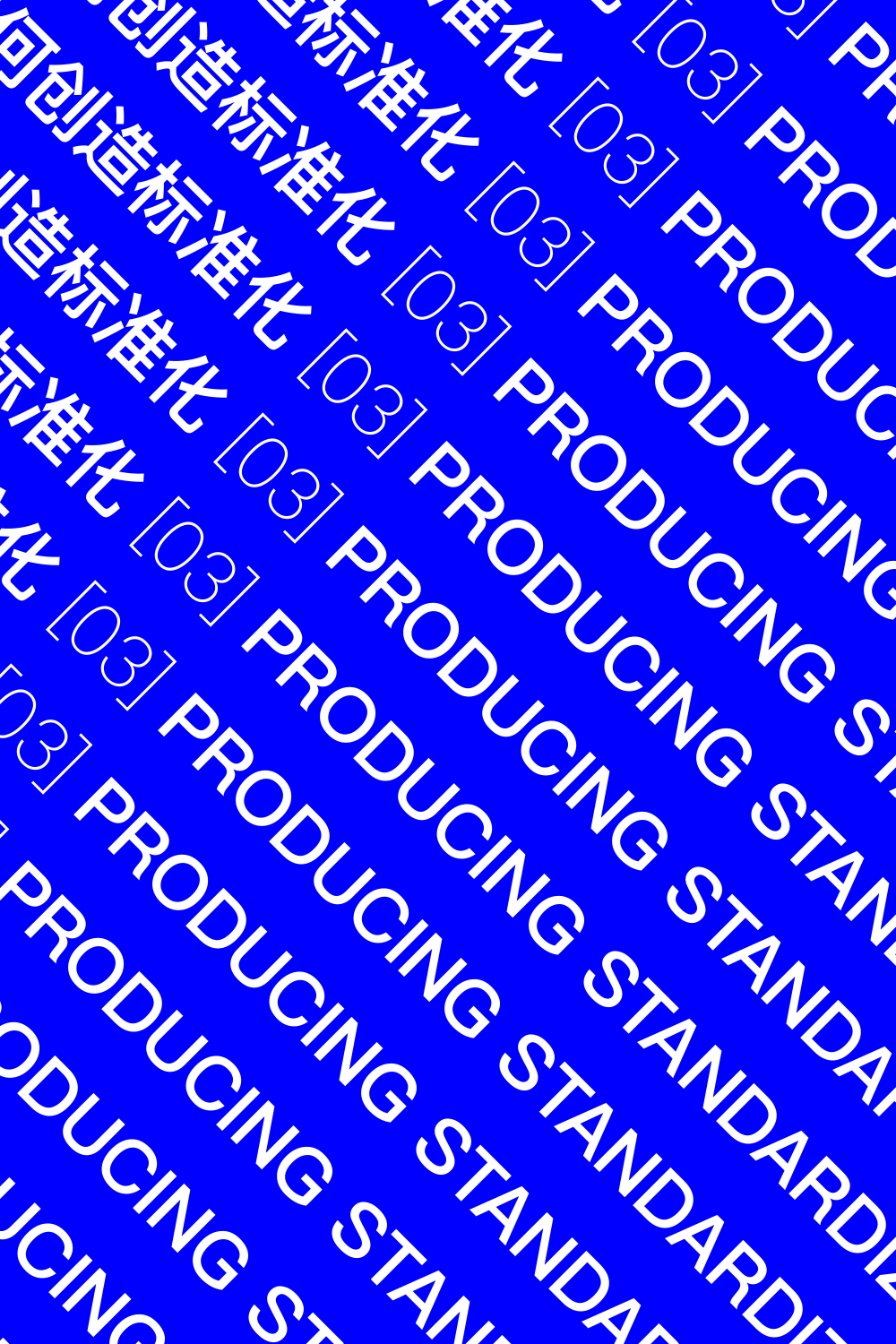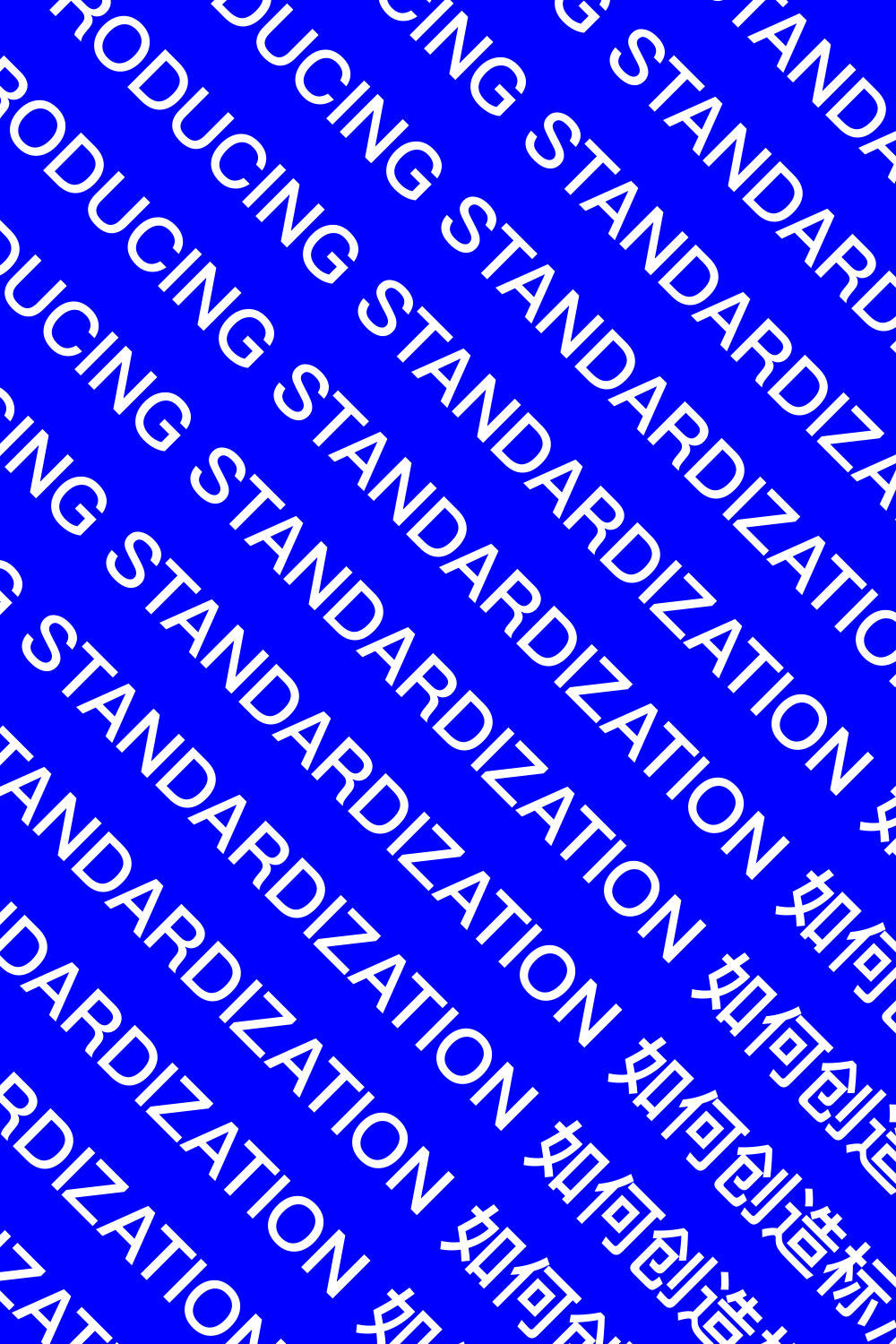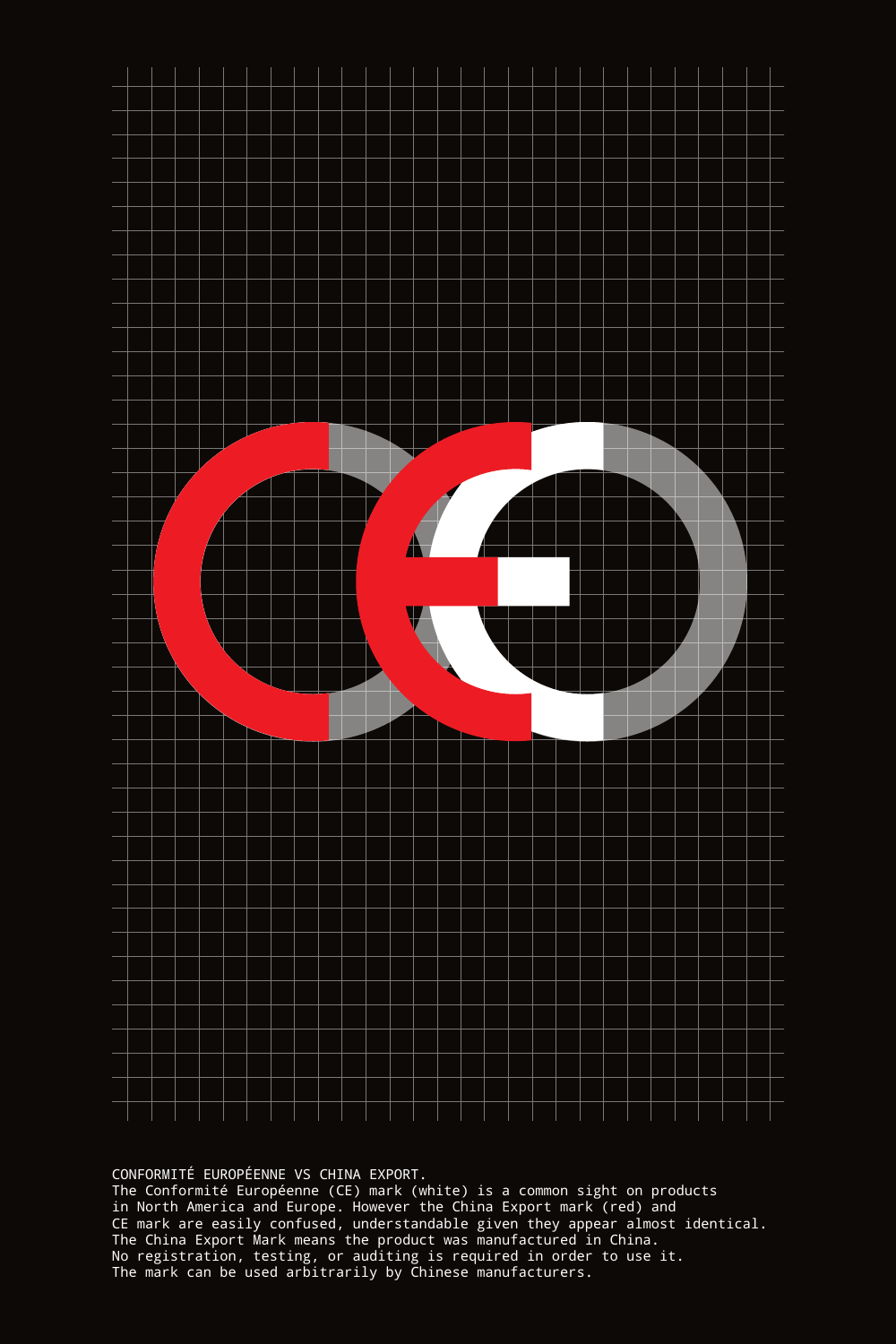![](_page_2_Figure_0.jpeg)

CONFORMITÉ EUROPÉENNE VS CHINA EXPORT.

The Conformité Européenne (CE) mark (white) is a common sight on products in North America and Europe. However the China Export mark (red) and CE mark are easily confused, understandable given they appear almost identical. The China Export Mark means the product was manufactured in China. No registration, testing, or auditing is required in order to use it. The mark can be used arbitrarily by Chinese manufacturers.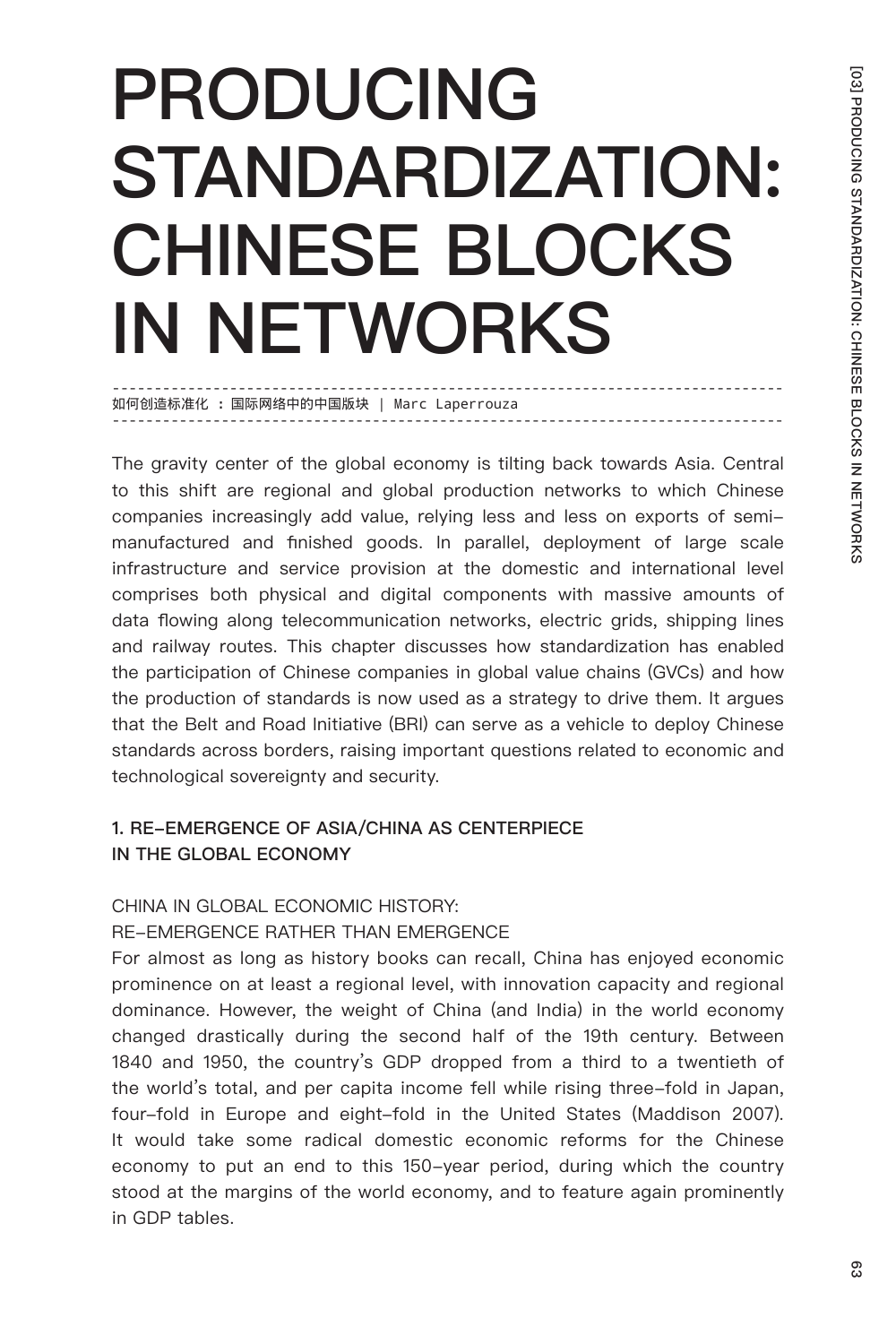# PRODUCING STANDARDIZATION: CHINESE BLOCKS IN NETWORKS

-------------------------------------------------------------------------------- 如何创造标准化 :国际网络中的中国版块 | Marc Laperrouza --------------------------------------------------------------------------------

The gravity center of the global economy is tilting back towards Asia. Central to this shift are regional and global production networks to which Chinese companies increasingly add value, relying less and less on exports of semimanufactured and finished goods. In parallel, deployment of large scale infrastructure and service provision at the domestic and international level comprises both physical and digital components with massive amounts of data flowing along telecommunication networks, electric grids, shipping lines and railway routes. This chapter discusses how standardization has enabled the participation of Chinese companies in global value chains (GVCs) and how the production of standards is now used as a strategy to drive them. It argues that the Belt and Road Initiative (BRI) can serve as a vehicle to deploy Chinese standards across borders, raising important questions related to economic and technological sovereignty and security.

### **1. RE-EMERGENCE OF ASIA/CHINA AS CENTERPIECE IN THE GLOBAL ECONOMY**

## CHINA IN GLOBAL ECONOMIC HISTORY:

#### RE-EMERGENCE RATHER THAN EMERGENCE

For almost as long as history books can recall, China has enjoyed economic prominence on at least a regional level, with innovation capacity and regional dominance. However, the weight of China (and India) in the world economy changed drastically during the second half of the 19th century. Between 1840 and 1950, the country's GDP dropped from a third to a twentieth of the world's total, and per capita income fell while rising three-fold in Japan, four-fold in Europe and eight-fold in the United States (Maddison 2007). It would take some radical domestic economic reforms for the Chinese economy to put an end to this 150-year period, during which the country stood at the margins of the world economy, and to feature again prominently in GDP tables.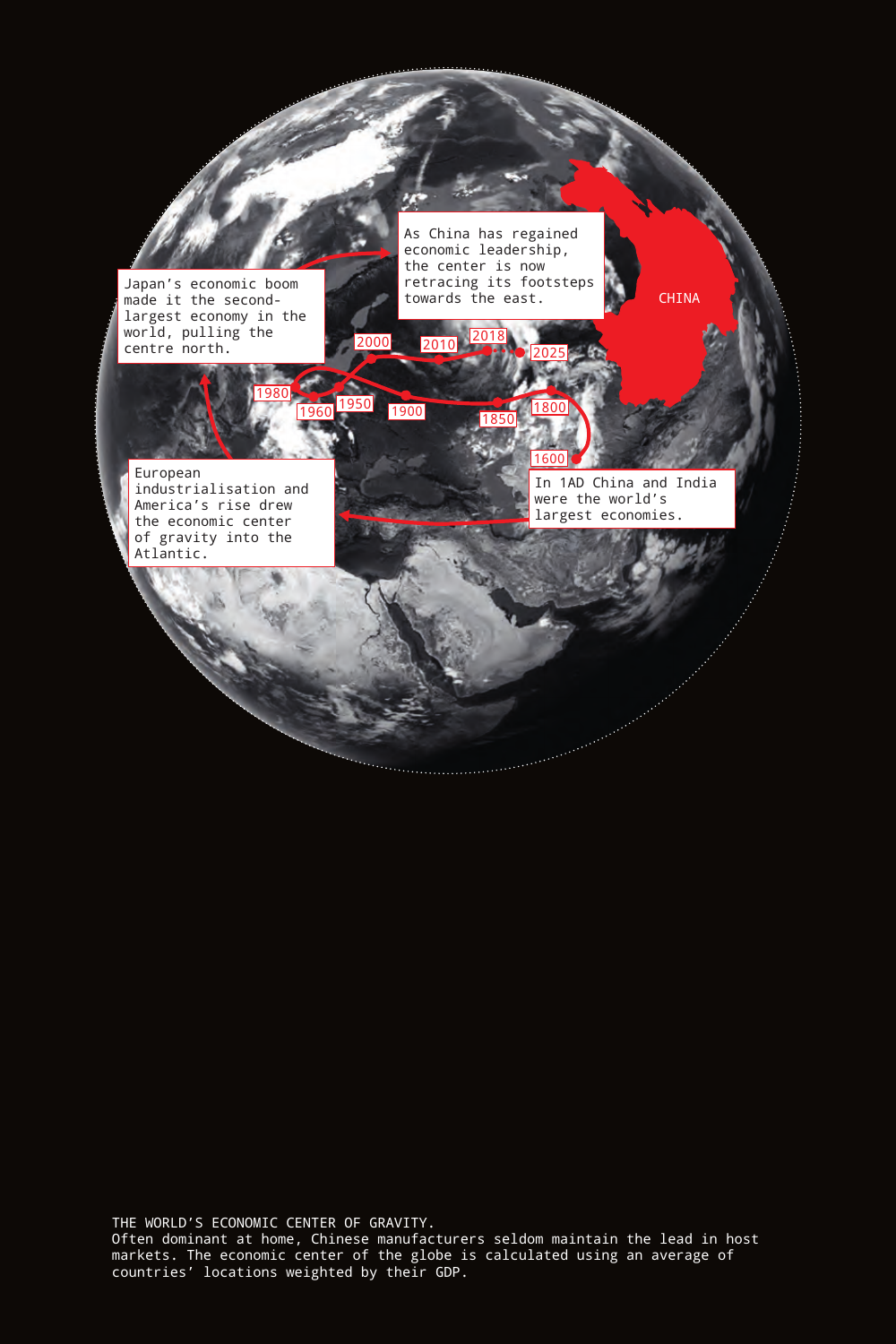![](_page_4_Picture_0.jpeg)

THE WORLD'S ECONOMIC CENTER OF GRAVITY. Often dominant at home, Chinese manufacturers seldom maintain the lead in host markets. The economic center of the globe is calculated using an average of countries' locations weighted by their GDP.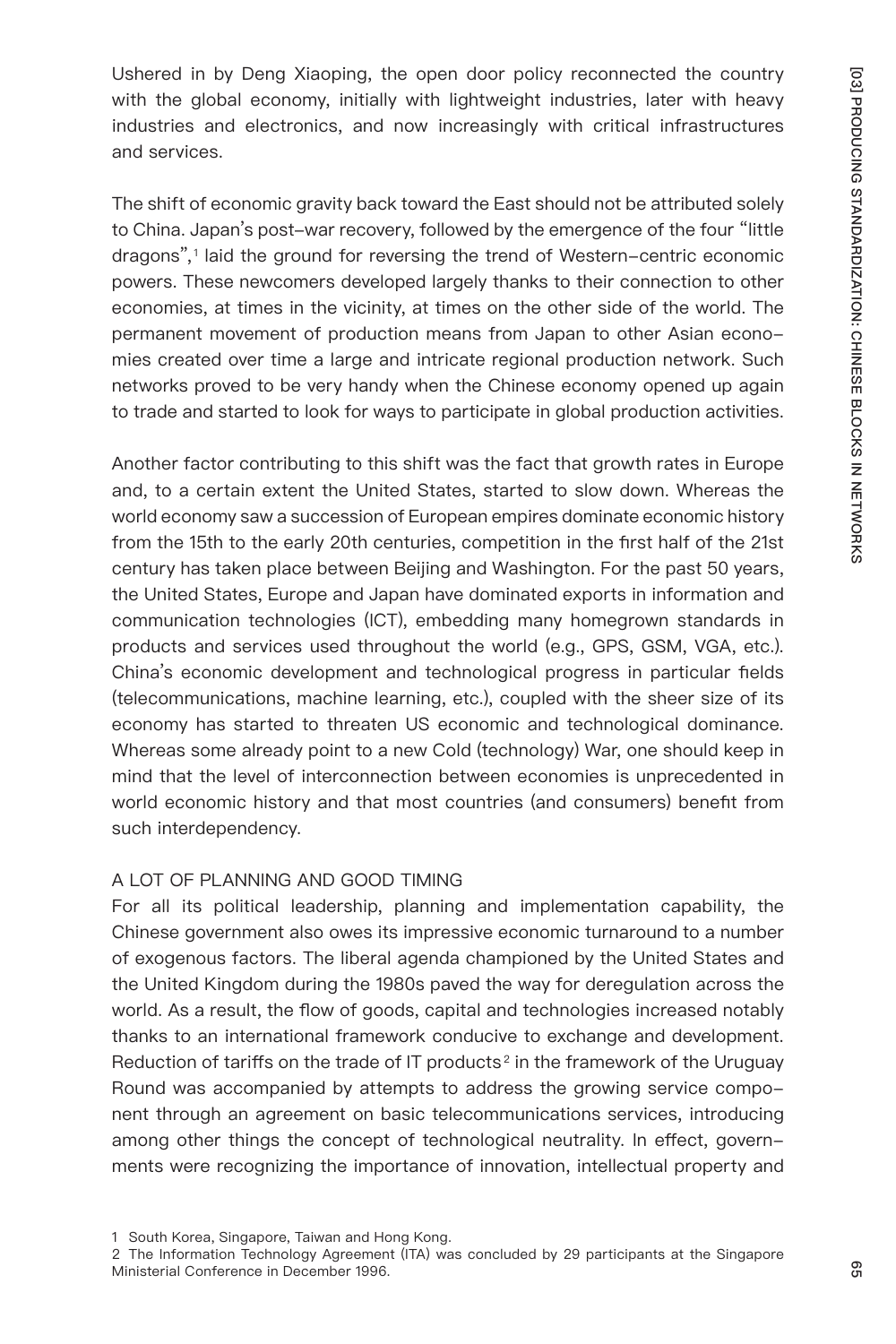Ushered in by Deng Xiaoping, the open door policy reconnected the country with the global economy, initially with lightweight industries, later with heavy industries and electronics, and now increasingly with critical infrastructures and services.

The shift of economic gravity back toward the East should not be attributed solely to China. Japan's post-war recovery, followed by the emergence of the four "little dragons",<sup>1</sup> laid the ground for reversing the trend of Western-centric economic powers. These newcomers developed largely thanks to their connection to other economies, at times in the vicinity, at times on the other side of the world. The permanent movement of production means from Japan to other Asian economies created over time a large and intricate regional production network. Such networks proved to be very handy when the Chinese economy opened up again to trade and started to look for ways to participate in global production activities.

Another factor contributing to this shift was the fact that growth rates in Europe and, to a certain extent the United States, started to slow down. Whereas the world economy saw a succession of European empires dominate economic history from the 15th to the early 20th centuries, competition in the first half of the 21st century has taken place between Beijing and Washington. For the past 50 years, the United States, Europe and Japan have dominated exports in information and communication technologies (ICT), embedding many homegrown standards in products and services used throughout the world (e.g., GPS, GSM, VGA, etc.). China's economic development and technological progress in particular fields (telecommunications, machine learning, etc.), coupled with the sheer size of its economy has started to threaten US economic and technological dominance. Whereas some already point to a new Cold (technology) War, one should keep in mind that the level of interconnection between economies is unprecedented in world economic history and that most countries (and consumers) benefit from such interdependency.

#### A LOT OF PLANNING AND GOOD TIMING

For all its political leadership, planning and implementation capability, the Chinese government also owes its impressive economic turnaround to a number of exogenous factors. The liberal agenda championed by the United States and the United Kingdom during the 1980s paved the way for deregulation across the world. As a result, the flow of goods, capital and technologies increased notably thanks to an international framework conducive to exchange and development. Reduction of tariffs on the trade of IT products<sup>2</sup> in the framework of the Uruguay Round was accompanied by attempts to address the growing service component through an agreement on basic telecommunications services, introducing among other things the concept of technological neutrality. In effect, governments were recognizing the importance of innovation, intellectual property and

<sup>1</sup> South Korea, Singapore, Taiwan and Hong Kong.

<sup>2</sup> The Information Technology Agreement (ITA) was concluded by 29 participants at the Singapore Ministerial Conference in December 1996.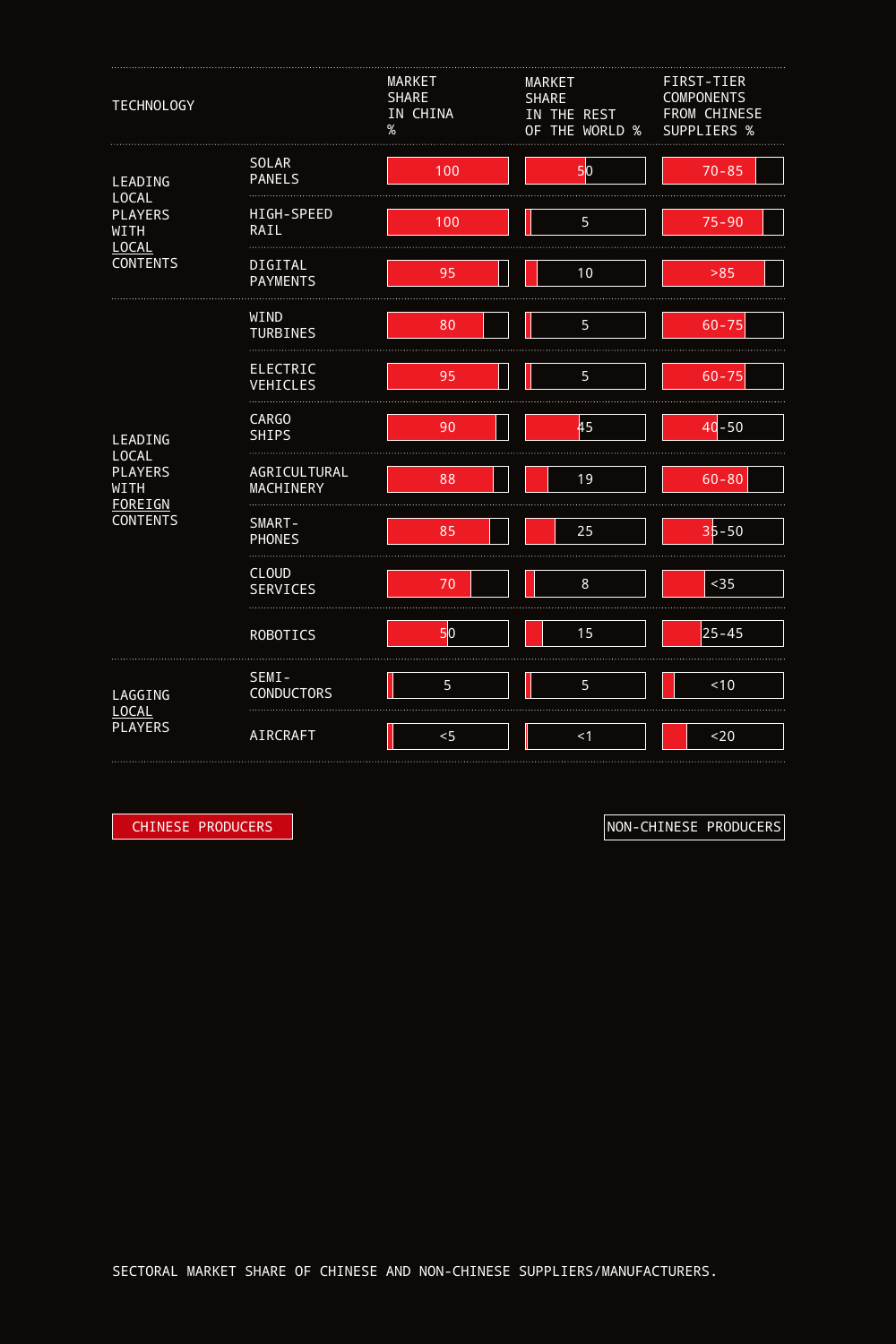| <b>TECHNOLOGY</b>                                                                    |                                   | <b>MARKET</b><br><b>SHARE</b><br>IN CHINA<br>% | <b>MARKET</b><br><b>SHARE</b><br>IN THE REST<br>OF THE WORLD % | FIRST-TIER<br><b>COMPONENTS</b><br><b>FROM CHINESE</b><br>SUPPLIERS % |
|--------------------------------------------------------------------------------------|-----------------------------------|------------------------------------------------|----------------------------------------------------------------|-----------------------------------------------------------------------|
| LEADING<br><b>LOCAL</b><br><b>PLAYERS</b><br>WITH<br><b>LOCAL</b><br><b>CONTENTS</b> | <b>SOLAR</b><br><b>PANELS</b>     | 100                                            | 50 <sub>0</sub>                                                | $70 - 85$                                                             |
|                                                                                      | <b>HIGH-SPEED</b><br>RAIL         | 100                                            | 5                                                              | $75 - 90$                                                             |
|                                                                                      | <b>DIGITAL</b><br><b>PAYMENTS</b> | 95                                             | 10                                                             | >85                                                                   |
| LEADING<br><b>LOCAL</b><br><b>PLAYERS</b><br>WITH<br>FOREIGN<br><b>CONTENTS</b>      | WIND<br><b>TURBINES</b>           | 80                                             | 5                                                              | $60 - 75$                                                             |
|                                                                                      | <b>ELECTRIC</b><br>VEHICLES       | 95                                             | 5                                                              | $60 - 75$                                                             |
|                                                                                      | CARGO<br><b>SHIPS</b>             | 90                                             | 45                                                             | $40 - 50$                                                             |
|                                                                                      | AGRICULTURAL<br>MACHINERY         | 88                                             | 19                                                             | $60 - 80$                                                             |
|                                                                                      | SMART-<br><b>PHONES</b>           | 85                                             | 25                                                             | $35 - 50$                                                             |
|                                                                                      | <b>CLOUD</b><br><b>SERVICES</b>   | 70                                             | 8                                                              | $35$                                                                  |
|                                                                                      | ROBOTICS                          | 5 <sub>0</sub>                                 | 15                                                             | $25 - 45$                                                             |
| LAGGING<br><b>LOCAL</b><br><b>PLAYERS</b>                                            | SEMI-<br><b>CONDUCTORS</b>        | 5                                              | 5                                                              | < 10                                                                  |
|                                                                                      | AIRCRAFT                          | < 5                                            | <1                                                             | $20$                                                                  |

CHINESE PRODUCERS NON-CHINESE PRODUCERS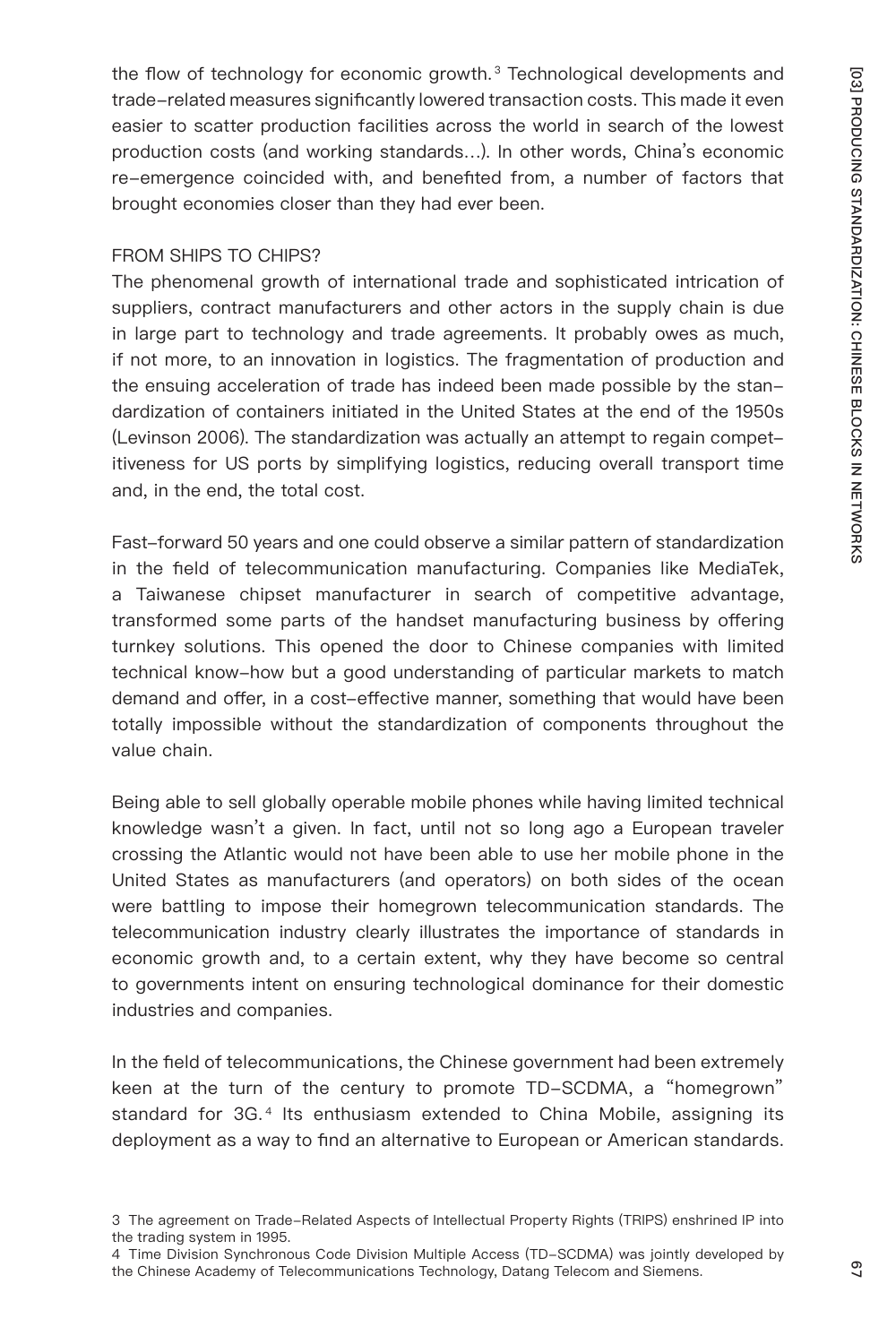the flow of technology for economic growth.<sup>3</sup> Technological developments and trade-related measures significantly lowered transaction costs. This made it even easier to scatter production facilities across the world in search of the lowest production costs (and working standards…). In other words, China's economic re-emergence coincided with, and benefited from, a number of factors that brought economies closer than they had ever been.

#### FROM SHIPS TO CHIPS?

The phenomenal growth of international trade and sophisticated intrication of suppliers, contract manufacturers and other actors in the supply chain is due in large part to technology and trade agreements. It probably owes as much, if not more, to an innovation in logistics. The fragmentation of production and the ensuing acceleration of trade has indeed been made possible by the standardization of containers initiated in the United States at the end of the 1950s (Levinson 2006). The standardization was actually an attempt to regain competitiveness for US ports by simplifying logistics, reducing overall transport time and, in the end, the total cost.

Fast-forward 50 years and one could observe a similar pattern of standardization in the field of telecommunication manufacturing. Companies like MediaTek, a Taiwanese chipset manufacturer in search of competitive advantage, transformed some parts of the handset manufacturing business by offering turnkey solutions. This opened the door to Chinese companies with limited technical know-how but a good understanding of particular markets to match demand and offer, in a cost-effective manner, something that would have been totally impossible without the standardization of components throughout the value chain.

Being able to sell globally operable mobile phones while having limited technical knowledge wasn't a given. In fact, until not so long ago a European traveler crossing the Atlantic would not have been able to use her mobile phone in the United States as manufacturers (and operators) on both sides of the ocean were battling to impose their homegrown telecommunication standards. The telecommunication industry clearly illustrates the importance of standards in economic growth and, to a certain extent, why they have become so central to governments intent on ensuring technological dominance for their domestic industries and companies.

In the field of telecommunications, the Chinese government had been extremely keen at the turn of the century to promote TD-SCDMA, a "homegrown" standard for 3G.<sup>4</sup> Its enthusiasm extended to China Mobile, assigning its deployment as a way to find an alternative to European or American standards.

<sup>3</sup> The agreement on Trade-Related Aspects of Intellectual Property Rights (TRIPS) enshrined IP into the trading system in 1995.

<sup>4</sup> Time Division Synchronous Code Division Multiple Access (TD-SCDMA) was jointly developed by the Chinese Academy of Telecommunications Technology, Datang Telecom and Siemens.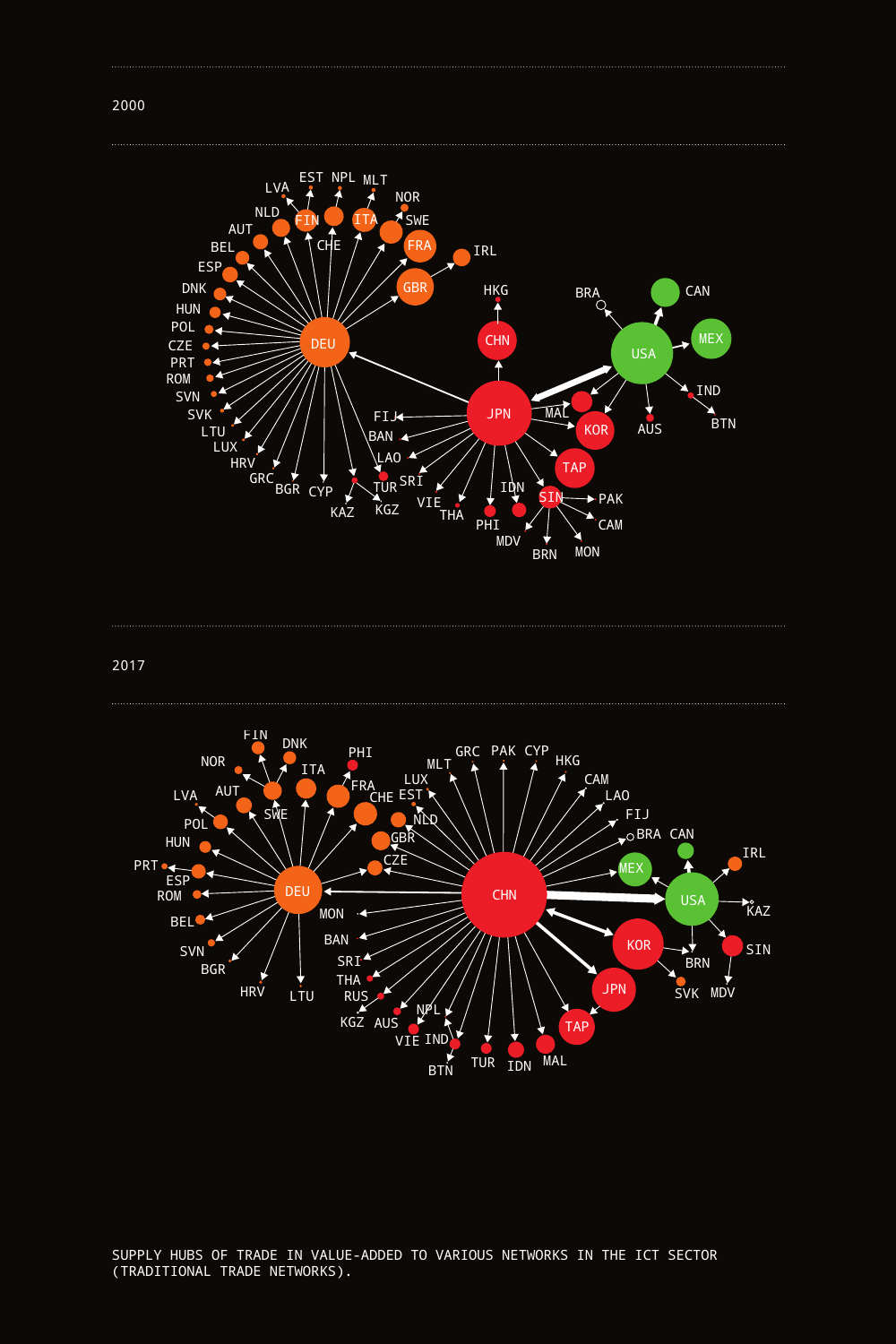![](_page_8_Figure_1.jpeg)

![](_page_8_Figure_2.jpeg)

![](_page_8_Figure_3.jpeg)

LY HUBS OF TRADE IN VALUE-ADDED TO VARIOUS NETWORKS IN THI<br>DITIONAL TRADE NETWORKS). (TRADITIONAL TRADE NETWORKS). SUPPLY HUBS OF TRADE IN VALUE-ADDED TO VARIOUS NETWORKS IN THE ICT SECTOR